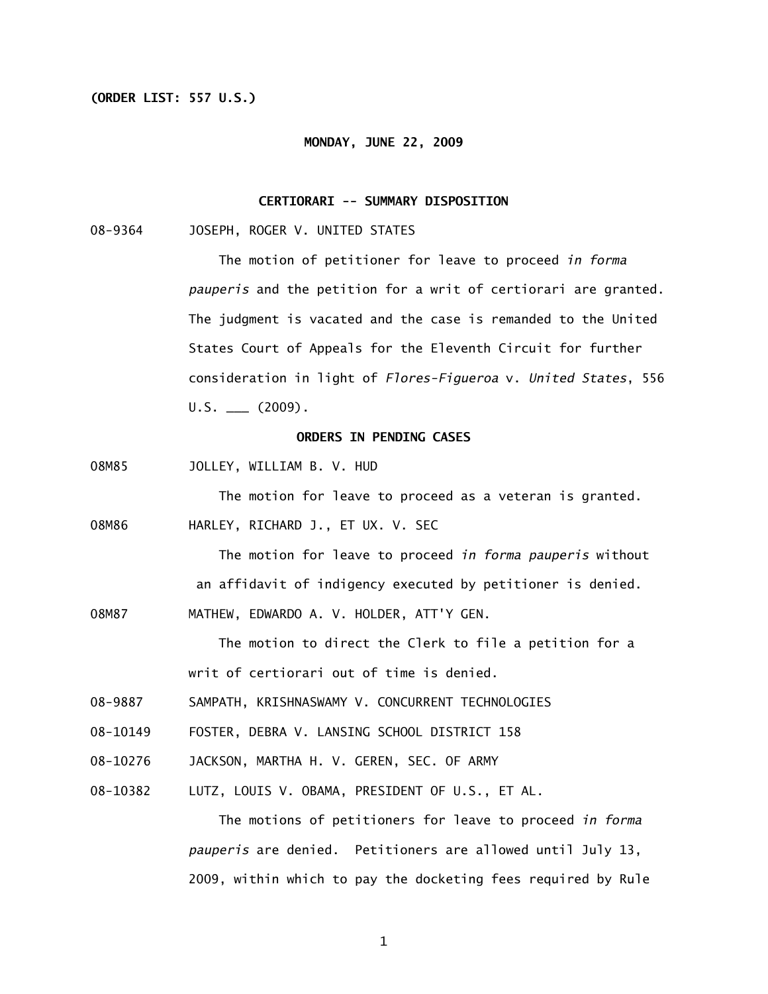# **(ORDER LIST: 557 U.S.)**

#### **MONDAY, JUNE 22, 2009**

# **CERTIORARI -- SUMMARY DISPOSITION**

08-9364 JOSEPH, ROGER V. UNITED STATES

 The motion of petitioner for leave to proceed *in forma pauperis* and the petition for a writ of certiorari are granted. The judgment is vacated and the case is remanded to the United States Court of Appeals for the Eleventh Circuit for further consideration in light of *Flores-Figueroa* v. *United States*, 556  $U.S.$  (2009).

# **ORDERS IN PENDING CASES**

08M85 JOLLEY, WILLIAM B. V. HUD

The motion for leave to proceed as a veteran is granted.

08M86 HARLEY, RICHARD J., ET UX. V. SEC

 The motion for leave to proceed *in forma pauperis* without an affidavit of indigency executed by petitioner is denied.

08M87 MATHEW, EDWARDO A. V. HOLDER, ATT'Y GEN.

The motion to direct the Clerk to file a petition for a writ of certiorari out of time is denied.

- 08-9887 SAMPATH, KRISHNASWAMY V. CONCURRENT TECHNOLOGIES
- 08-10149 FOSTER, DEBRA V. LANSING SCHOOL DISTRICT 158
- 08-10276 JACKSON, MARTHA H. V. GEREN, SEC. OF ARMY
- 08-10382 LUTZ, LOUIS V. OBAMA, PRESIDENT OF U.S., ET AL.

 The motions of petitioners for leave to proceed *in forma pauperis* are denied. Petitioners are allowed until July 13, 2009, within which to pay the docketing fees required by Rule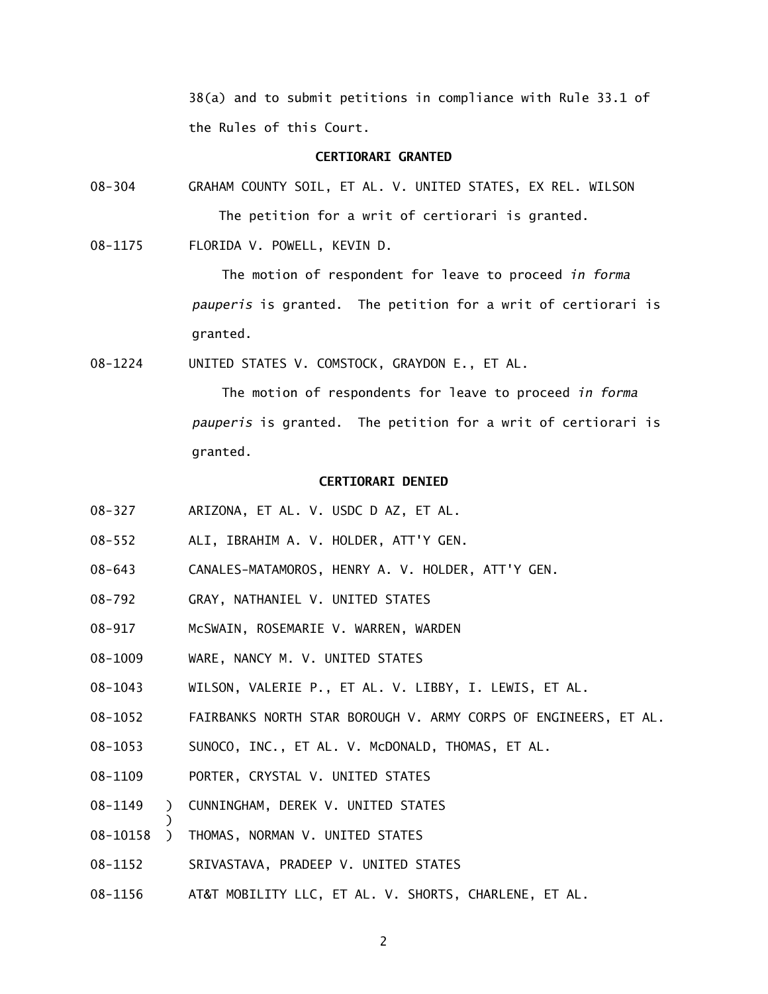38(a) and to submit petitions in compliance with Rule 33.1 of the Rules of this Court.

#### **CERTIORARI GRANTED**

08-304 GRAHAM COUNTY SOIL, ET AL. V. UNITED STATES, EX REL. WILSON The petition for a writ of certiorari is granted.

08-1175 FLORIDA V. POWELL, KEVIN D.

The motion of respondent for leave to proceed *in forma pauperis* is granted. The petition for a writ of certiorari is granted.

08-1224 UNITED STATES V. COMSTOCK, GRAYDON E., ET AL.

The motion of respondents for leave to proceed *in forma pauperis* is granted. The petition for a writ of certiorari is granted.

#### **CERTIORARI DENIED**

- 08-327 ARIZONA, ET AL. V. USDC D AZ, ET AL.
- 08-552 ALI, IBRAHIM A. V. HOLDER, ATT'Y GEN.
- 08-643 CANALES-MATAMOROS, HENRY A. V. HOLDER, ATT'Y GEN.
- 08-792 GRAY, NATHANIEL V. UNITED STATES
- 08-917 McSWAIN, ROSEMARIE V. WARREN, WARDEN
- 08-1009 WARE, NANCY M. V. UNITED STATES
- 08-1043 WILSON, VALERIE P., ET AL. V. LIBBY, I. LEWIS, ET AL.
- 08-1052 FAIRBANKS NORTH STAR BOROUGH V. ARMY CORPS OF ENGINEERS, ET AL.
- 08-1053 SUNOCO, INC., ET AL. V. McDONALD, THOMAS, ET AL.
- 08-1109 PORTER, CRYSTAL V. UNITED STATES
- 08-1149 ) CUNNINGHAM, DEREK V. UNITED STATES
- 08-10158 ) THOMAS, NORMAN V. UNITED STATES

)

- 08-1152 SRIVASTAVA, PRADEEP V. UNITED STATES
- 08-1156 AT&T MOBILITY LLC, ET AL. V. SHORTS, CHARLENE, ET AL.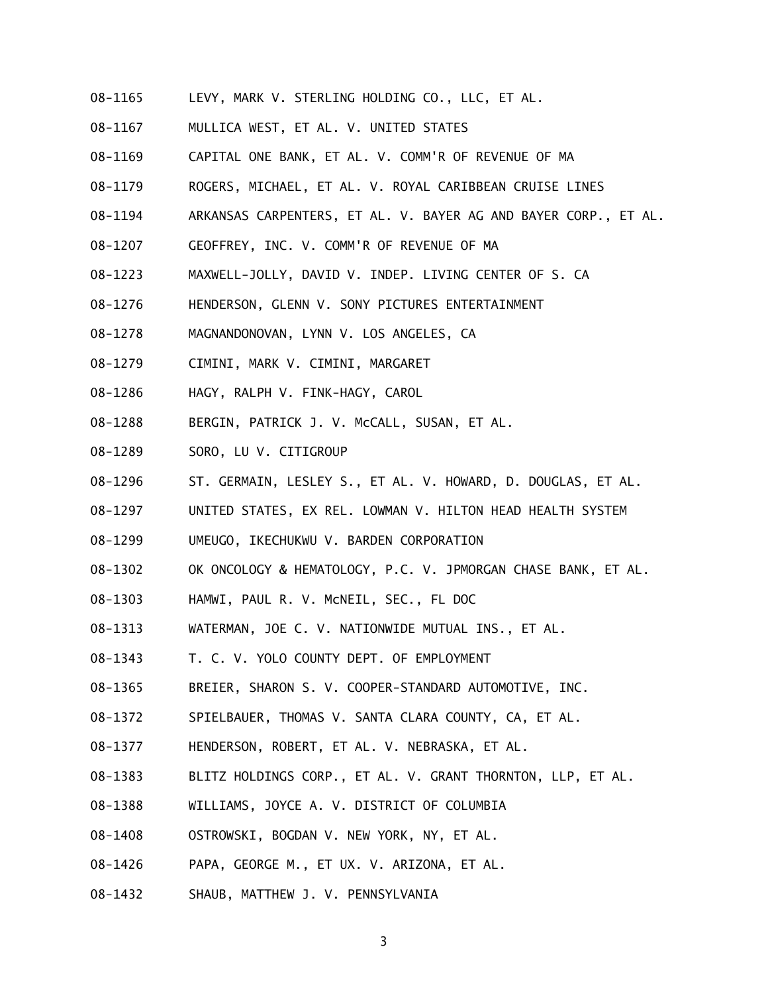- 08-1165 LEVY, MARK V. STERLING HOLDING CO., LLC, ET AL.
- 08-1167 MULLICA WEST, ET AL. V. UNITED STATES
- 08-1169 CAPITAL ONE BANK, ET AL. V. COMM'R OF REVENUE OF MA
- 08-1179 ROGERS, MICHAEL, ET AL. V. ROYAL CARIBBEAN CRUISE LINES
- 08-1194 ARKANSAS CARPENTERS, ET AL. V. BAYER AG AND BAYER CORP., ET AL.
- 08-1207 GEOFFREY, INC. V. COMM'R OF REVENUE OF MA
- 08-1223 MAXWELL-JOLLY, DAVID V. INDEP. LIVING CENTER OF S. CA
- 08-1276 HENDERSON, GLENN V. SONY PICTURES ENTERTAINMENT
- 08-1278 MAGNANDONOVAN, LYNN V. LOS ANGELES, CA
- 08-1279 CIMINI, MARK V. CIMINI, MARGARET
- 08-1286 HAGY, RALPH V. FINK-HAGY, CAROL
- 08-1288 BERGIN, PATRICK J. V. McCALL, SUSAN, ET AL.
- 08-1289 SORO, LU V. CITIGROUP
- 08-1296 ST. GERMAIN, LESLEY S., ET AL. V. HOWARD, D. DOUGLAS, ET AL.
- 08-1297 UNITED STATES, EX REL. LOWMAN V. HILTON HEAD HEALTH SYSTEM
- 08-1299 UMEUGO, IKECHUKWU V. BARDEN CORPORATION
- 08-1302 OK ONCOLOGY & HEMATOLOGY, P.C. V. JPMORGAN CHASE BANK, ET AL.
- 08-1303 HAMWI, PAUL R. V. McNEIL, SEC., FL DOC
- 08-1313 WATERMAN, JOE C. V. NATIONWIDE MUTUAL INS., ET AL.
- 08-1343 T. C. V. YOLO COUNTY DEPT. OF EMPLOYMENT
- 08-1365 BREIER, SHARON S. V. COOPER-STANDARD AUTOMOTIVE, INC.
- 08-1372 SPIELBAUER, THOMAS V. SANTA CLARA COUNTY, CA, ET AL.
- 08-1377 HENDERSON, ROBERT, ET AL. V. NEBRASKA, ET AL.
- 08-1383 BLITZ HOLDINGS CORP., ET AL. V. GRANT THORNTON, LLP, ET AL.
- 08-1388 WILLIAMS, JOYCE A. V. DISTRICT OF COLUMBIA
- 08-1408 OSTROWSKI, BOGDAN V. NEW YORK, NY, ET AL.
- 08-1426 PAPA, GEORGE M., ET UX. V. ARIZONA, ET AL.
- 08-1432 SHAUB, MATTHEW J. V. PENNSYLVANIA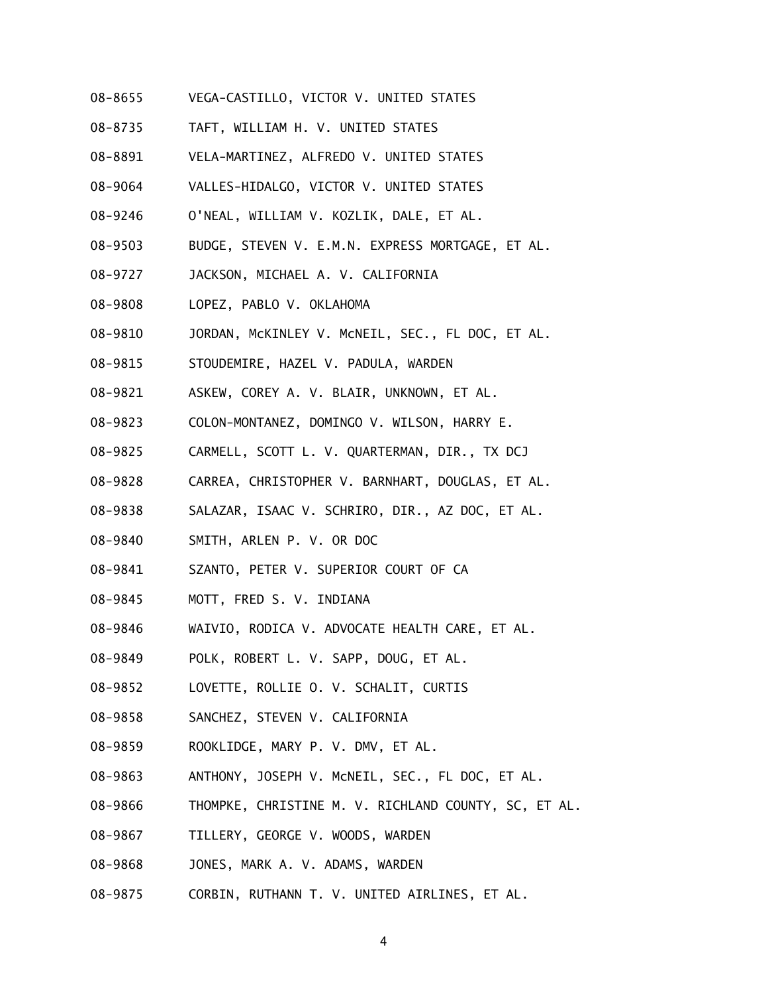- 08-8655 VEGA-CASTILLO, VICTOR V. UNITED STATES
- 08-8735 TAFT, WILLIAM H. V. UNITED STATES
- 08-8891 VELA-MARTINEZ, ALFREDO V. UNITED STATES
- 08-9064 VALLES-HIDALGO, VICTOR V. UNITED STATES
- 08-9246 O'NEAL, WILLIAM V. KOZLIK, DALE, ET AL.
- 08-9503 BUDGE, STEVEN V. E.M.N. EXPRESS MORTGAGE, ET AL.
- 08-9727 JACKSON, MICHAEL A. V. CALIFORNIA
- 08-9808 LOPEZ, PABLO V. OKLAHOMA
- 08-9810 JORDAN, McKINLEY V. McNEIL, SEC., FL DOC, ET AL.
- 08-9815 STOUDEMIRE, HAZEL V. PADULA, WARDEN
- 08-9821 ASKEW, COREY A. V. BLAIR, UNKNOWN, ET AL.
- 08-9823 COLON-MONTANEZ, DOMINGO V. WILSON, HARRY E.
- 08-9825 CARMELL, SCOTT L. V. QUARTERMAN, DIR., TX DCJ
- 08-9828 CARREA, CHRISTOPHER V. BARNHART, DOUGLAS, ET AL.
- 08-9838 SALAZAR, ISAAC V. SCHRIRO, DIR., AZ DOC, ET AL.
- 08-9840 SMITH, ARLEN P. V. OR DOC
- 08-9841 SZANTO, PETER V. SUPERIOR COURT OF CA
- 08-9845 MOTT, FRED S. V. INDIANA
- 08-9846 WAIVIO, RODICA V. ADVOCATE HEALTH CARE, ET AL.
- 08-9849 POLK, ROBERT L. V. SAPP, DOUG, ET AL.
- 08-9852 LOVETTE, ROLLIE O. V. SCHALIT, CURTIS
- 08-9858 SANCHEZ, STEVEN V. CALIFORNIA
- 08-9859 ROOKLIDGE, MARY P. V. DMV, ET AL.
- 08-9863 ANTHONY, JOSEPH V. McNEIL, SEC., FL DOC, ET AL.
- 08-9866 THOMPKE, CHRISTINE M. V. RICHLAND COUNTY, SC, ET AL.
- 08-9867 TILLERY, GEORGE V. WOODS, WARDEN
- 08-9868 JONES, MARK A. V. ADAMS, WARDEN
- 08-9875 CORBIN, RUTHANN T. V. UNITED AIRLINES, ET AL.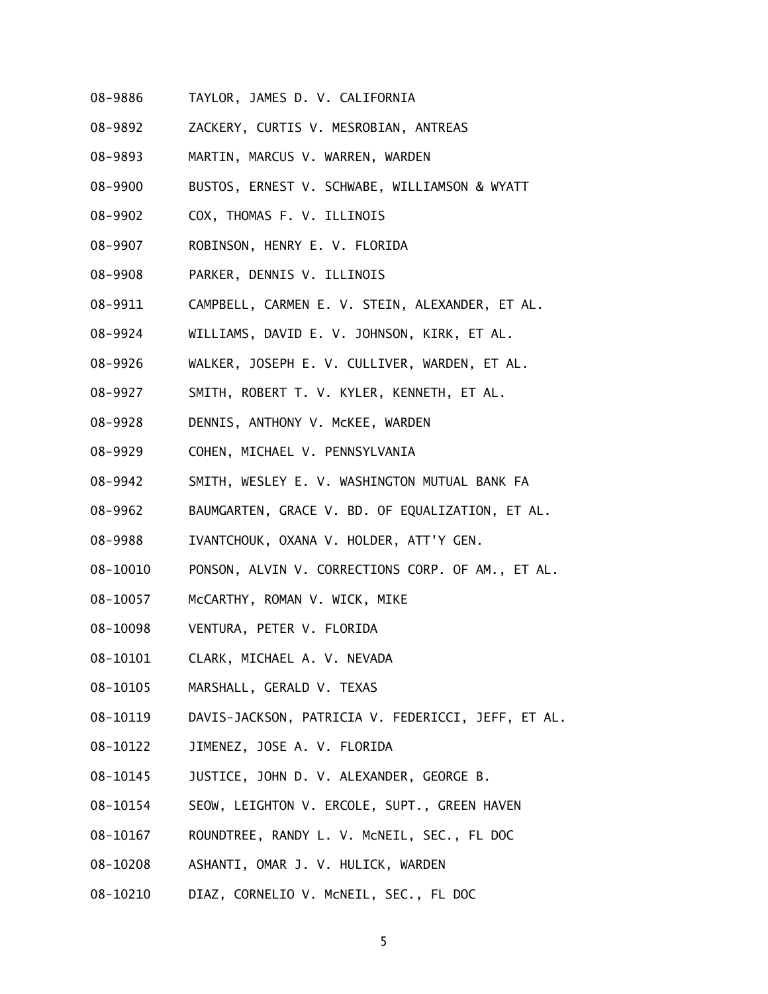- 08-9886 TAYLOR, JAMES D. V. CALIFORNIA
- 08-9892 ZACKERY, CURTIS V. MESROBIAN, ANTREAS
- 08-9893 MARTIN, MARCUS V. WARREN, WARDEN
- 08-9900 BUSTOS, ERNEST V. SCHWABE, WILLIAMSON & WYATT
- 08-9902 COX, THOMAS F. V. ILLINOIS
- 08-9907 ROBINSON, HENRY E. V. FLORIDA
- 08-9908 PARKER, DENNIS V. ILLINOIS
- 08-9911 CAMPBELL, CARMEN E. V. STEIN, ALEXANDER, ET AL.
- 08-9924 WILLIAMS, DAVID E. V. JOHNSON, KIRK, ET AL.
- 08-9926 WALKER, JOSEPH E. V. CULLIVER, WARDEN, ET AL.
- 08-9927 SMITH, ROBERT T. V. KYLER, KENNETH, ET AL.
- 08-9928 DENNIS, ANTHONY V. McKEE, WARDEN
- 08-9929 COHEN, MICHAEL V. PENNSYLVANIA
- 08-9942 SMITH, WESLEY E. V. WASHINGTON MUTUAL BANK FA
- 08-9962 BAUMGARTEN, GRACE V. BD. OF EQUALIZATION, ET AL.
- 08-9988 IVANTCHOUK, OXANA V. HOLDER, ATT'Y GEN.
- 08-10010 PONSON, ALVIN V. CORRECTIONS CORP. OF AM., ET AL.
- 08-10057 McCARTHY, ROMAN V. WICK, MIKE
- 08-10098 VENTURA, PETER V. FLORIDA
- 08-10101 CLARK, MICHAEL A. V. NEVADA
- 08-10105 MARSHALL, GERALD V. TEXAS
- 08-10119 DAVIS-JACKSON, PATRICIA V. FEDERICCI, JEFF, ET AL.
- 08-10122 JIMENEZ, JOSE A. V. FLORIDA
- 08-10145 JUSTICE, JOHN D. V. ALEXANDER, GEORGE B.
- 08-10154 SEOW, LEIGHTON V. ERCOLE, SUPT., GREEN HAVEN
- 08-10167 ROUNDTREE, RANDY L. V. McNEIL, SEC., FL DOC
- 08-10208 ASHANTI, OMAR J. V. HULICK, WARDEN
- 08-10210 DIAZ, CORNELIO V. McNEIL, SEC., FL DOC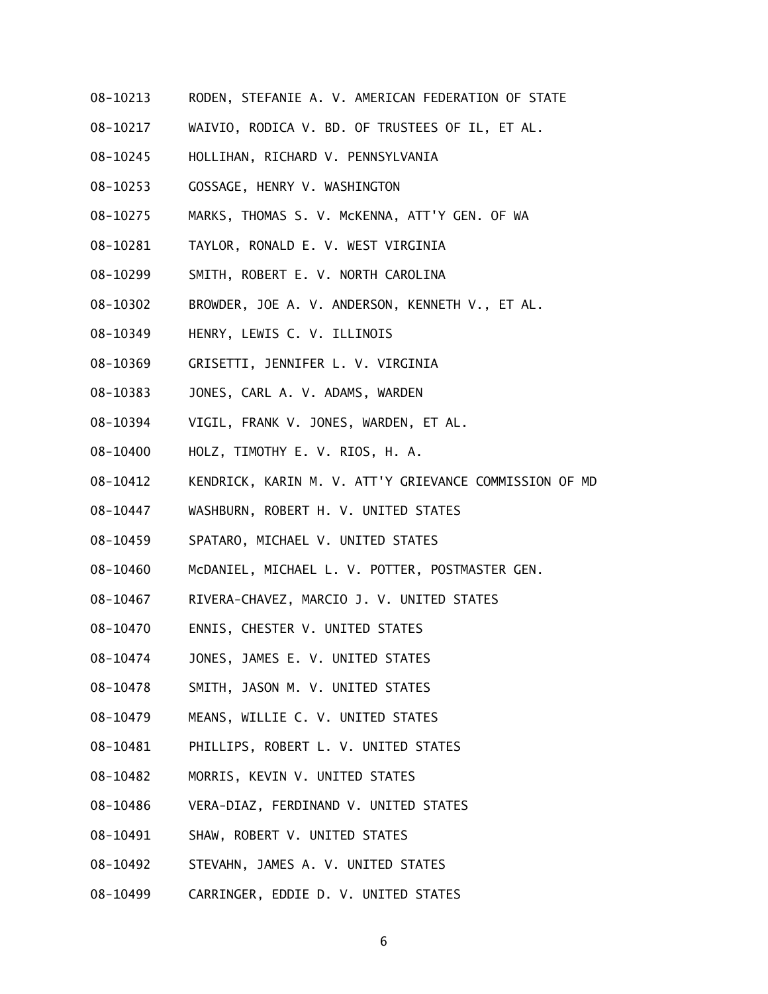- 08-10213 RODEN, STEFANIE A. V. AMERICAN FEDERATION OF STATE
- 08-10217 WAIVIO, RODICA V. BD. OF TRUSTEES OF IL, ET AL.
- 08-10245 HOLLIHAN, RICHARD V. PENNSYLVANIA
- 08-10253 GOSSAGE, HENRY V. WASHINGTON
- 08-10275 MARKS, THOMAS S. V. McKENNA, ATT'Y GEN. OF WA
- 08-10281 TAYLOR, RONALD E. V. WEST VIRGINIA
- 08-10299 SMITH, ROBERT E. V. NORTH CAROLINA
- 08-10302 BROWDER, JOE A. V. ANDERSON, KENNETH V., ET AL.
- 08-10349 HENRY, LEWIS C. V. ILLINOIS
- 08-10369 GRISETTI, JENNIFER L. V. VIRGINIA
- 08-10383 JONES, CARL A. V. ADAMS, WARDEN
- 08-10394 VIGIL, FRANK V. JONES, WARDEN, ET AL.
- 08-10400 HOLZ, TIMOTHY E. V. RIOS, H. A.
- 08-10412 KENDRICK, KARIN M. V. ATT'Y GRIEVANCE COMMISSION OF MD
- 08-10447 WASHBURN, ROBERT H. V. UNITED STATES
- 08-10459 SPATARO, MICHAEL V. UNITED STATES
- 08-10460 McDANIEL, MICHAEL L. V. POTTER, POSTMASTER GEN.
- 08-10467 RIVERA-CHAVEZ, MARCIO J. V. UNITED STATES
- 08-10470 ENNIS, CHESTER V. UNITED STATES
- 08-10474 JONES, JAMES E. V. UNITED STATES
- 08-10478 SMITH, JASON M. V. UNITED STATES
- 08-10479 MEANS, WILLIE C. V. UNITED STATES
- 08-10481 PHILLIPS, ROBERT L. V. UNITED STATES
- 08-10482 MORRIS, KEVIN V. UNITED STATES
- 08-10486 VERA-DIAZ, FERDINAND V. UNITED STATES
- 08-10491 SHAW, ROBERT V. UNITED STATES
- 08-10492 STEVAHN, JAMES A. V. UNITED STATES
- 08-10499 CARRINGER, EDDIE D. V. UNITED STATES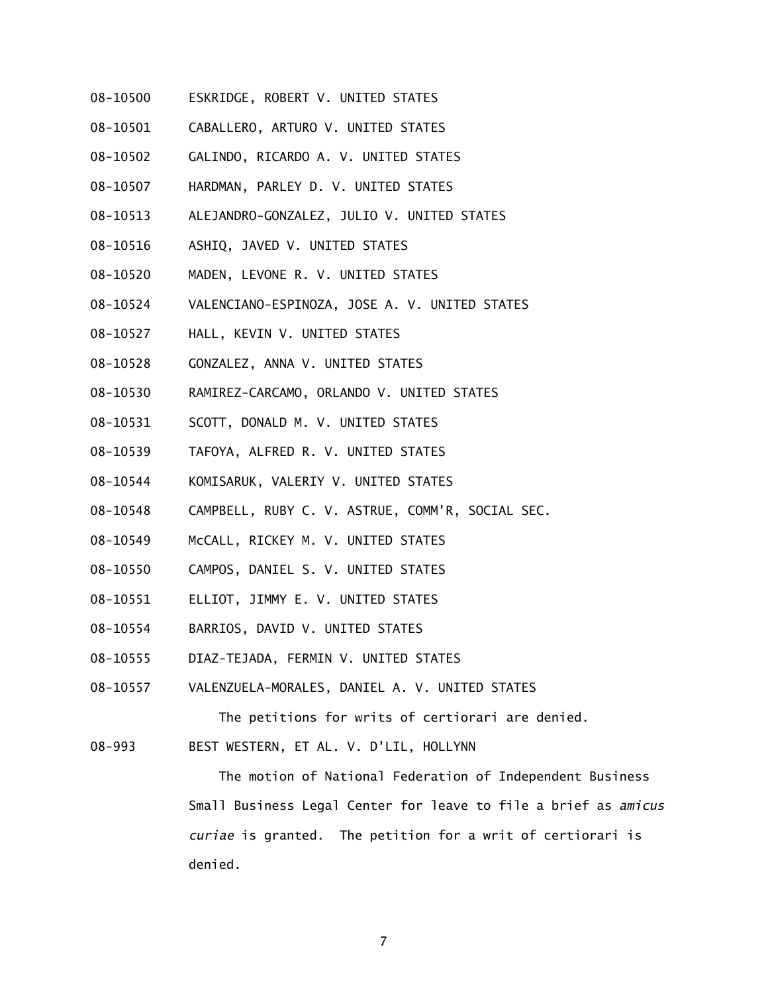- 08-10500 ESKRIDGE, ROBERT V. UNITED STATES
- 08-10501 CABALLERO, ARTURO V. UNITED STATES
- 08-10502 GALINDO, RICARDO A. V. UNITED STATES
- 08-10507 HARDMAN, PARLEY D. V. UNITED STATES
- 08-10513 ALEJANDRO-GONZALEZ, JULIO V. UNITED STATES
- 08-10516 ASHIQ, JAVED V. UNITED STATES
- 08-10520 MADEN, LEVONE R. V. UNITED STATES
- 08-10524 VALENCIANO-ESPINOZA, JOSE A. V. UNITED STATES
- 08-10527 HALL, KEVIN V. UNITED STATES
- 08-10528 GONZALEZ, ANNA V. UNITED STATES
- 08-10530 RAMIREZ-CARCAMO, ORLANDO V. UNITED STATES
- 08-10531 SCOTT, DONALD M. V. UNITED STATES
- 08-10539 TAFOYA, ALFRED R. V. UNITED STATES
- 08-10544 KOMISARUK, VALERIY V. UNITED STATES
- 08-10548 CAMPBELL, RUBY C. V. ASTRUE, COMM'R, SOCIAL SEC.
- 08-10549 McCALL, RICKEY M. V. UNITED STATES
- 08-10550 CAMPOS, DANIEL S. V. UNITED STATES
- 08-10551 ELLIOT, JIMMY E. V. UNITED STATES
- 08-10554 BARRIOS, DAVID V. UNITED STATES
- 08-10555 DIAZ-TEJADA, FERMIN V. UNITED STATES
- 08-10557 VALENZUELA-MORALES, DANIEL A. V. UNITED STATES

The petitions for writs of certiorari are denied.

08-993 BEST WESTERN, ET AL. V. D'LIL, HOLLYNN

 The motion of National Federation of Independent Business Small Business Legal Center for leave to file a brief as *amicus curiae* is granted. The petition for a writ of certiorari is denied.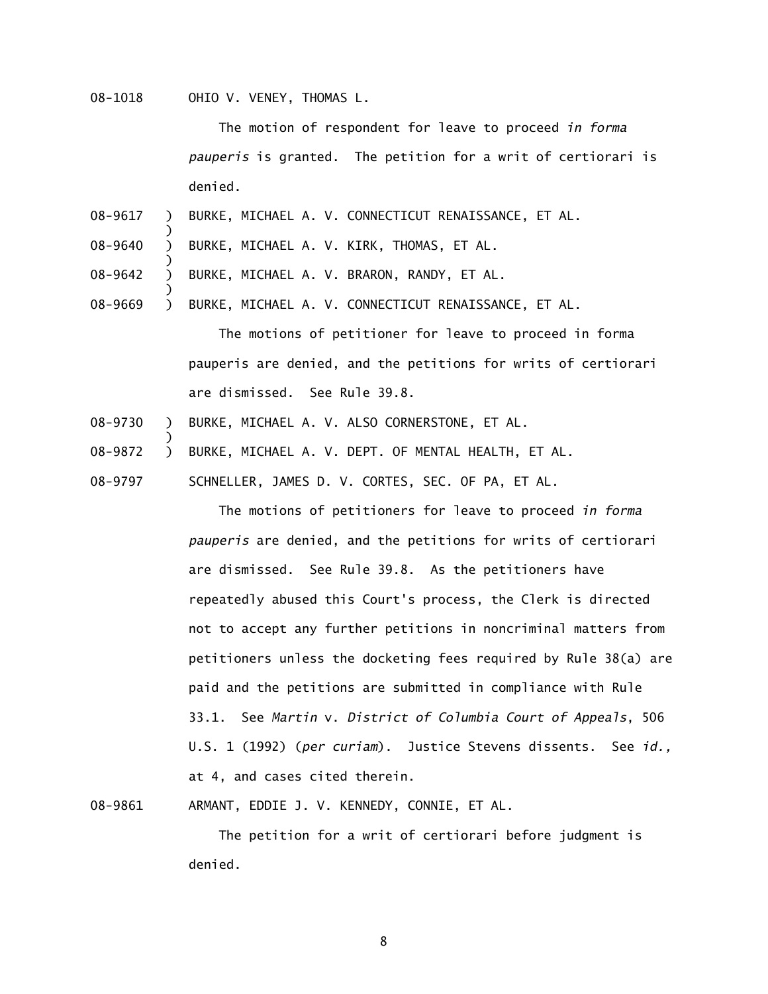08-1018 OHIO V. VENEY, THOMAS L.

)

)

)

)

 The motion of respondent for leave to proceed *in forma pauperis* is granted. The petition for a writ of certiorari is denied.

- 08-9617  $\lambda$ BURKE, MICHAEL A. V. CONNECTICUT RENAISSANCE, ET AL.
- 08-9640  $\lambda$ BURKE, MICHAEL A. V. KIRK, THOMAS, ET AL.
- 08-9642  $\lambda$ BURKE, MICHAEL A. V. BRARON, RANDY, ET AL.
- 08-9669  $\mathcal{L}$ BURKE, MICHAEL A. V. CONNECTICUT RENAISSANCE, ET AL.

 The motions of petitioner for leave to proceed in forma pauperis are denied, and the petitions for writs of certiorari are dismissed. See Rule 39.8.

- 08-9730  $\mathcal{L}$ BURKE, MICHAEL A. V. ALSO CORNERSTONE, ET AL.
- 08-9872  $\lambda$ BURKE, MICHAEL A. V. DEPT. OF MENTAL HEALTH, ET AL.
- 08-9797 SCHNELLER, JAMES D. V. CORTES, SEC. OF PA, ET AL.

 The motions of petitioners for leave to proceed *in forma pauperis* are denied, and the petitions for writs of certiorari are dismissed. See Rule 39.8. As the petitioners have repeatedly abused this Court's process, the Clerk is directed not to accept any further petitions in noncriminal matters from petitioners unless the docketing fees required by Rule 38(a) are paid and the petitions are submitted in compliance with Rule 33.1. See *Martin* v. *District of Columbia Court of Appeals*, 506 U.S. 1 (1992) (*per curiam*). Justice Stevens dissents. See *id.,*  at 4, and cases cited therein.

08-9861 ARMANT, EDDIE J. V. KENNEDY, CONNIE, ET AL.

 The petition for a writ of certiorari before judgment is denied.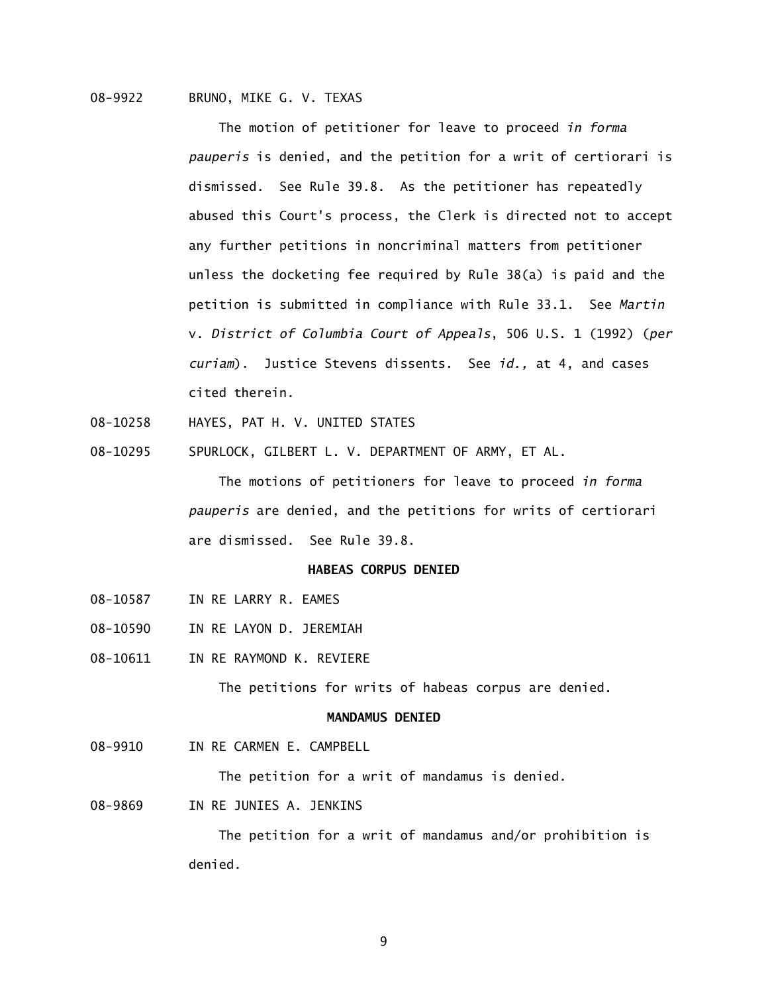# 08-9922 BRUNO, MIKE G. V. TEXAS

 The motion of petitioner for leave to proceed *in forma pauperis* is denied, and the petition for a writ of certiorari is dismissed. See Rule 39.8. As the petitioner has repeatedly abused this Court's process, the Clerk is directed not to accept any further petitions in noncriminal matters from petitioner unless the docketing fee required by Rule 38(a) is paid and the petition is submitted in compliance with Rule 33.1. See *Martin*  v. *District of Columbia Court of Appeals*, 506 U.S. 1 (1992) (*per curiam*). Justice Stevens dissents. See *id.,* at 4, and cases cited therein.

- 08-10258 HAYES, PAT H. V. UNITED STATES
- 08-10295 SPURLOCK, GILBERT L. V. DEPARTMENT OF ARMY, ET AL.

 The motions of petitioners for leave to proceed *in forma pauperis* are denied, and the petitions for writs of certiorari are dismissed. See Rule 39.8.

# **HABEAS CORPUS DENIED**

- 08-10587 IN RE LARRY R. EAMES
- 08-10590 IN RE LAYON D. JEREMIAH
- 08-10611 IN RE RAYMOND K. REVIERE

The petitions for writs of habeas corpus are denied.

# **MANDAMUS DENIED**

08-9910 IN RE CARMEN E. CAMPBELL

The petition for a writ of mandamus is denied.

08-9869 IN RE JUNIES A. JENKINS

 The petition for a writ of mandamus and/or prohibition is denied.